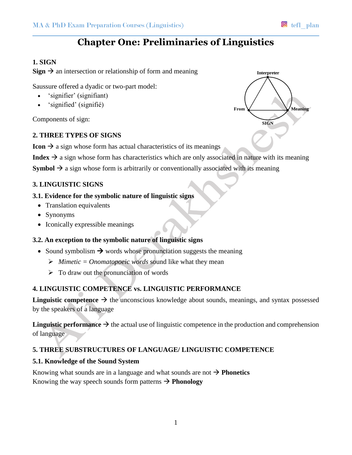# **Chapter One: Preliminaries of Linguistics**

## **1. SIGN**

**Sign**  $\rightarrow$  an intersection or relationship of form and meaning

Saussure offered a dyadic or two-part model:

- 'signifier' (signifiant)
- 'signified' (signifié)

Components of sign:

## **2. THREE TYPES OF SIGNS**

**Icon**  $\rightarrow$  a sign whose form has actual characteristics of its meanings

**Index**  $\rightarrow$  a sign whose form has characteristics which are only associated in nature with its meaning

**Symbol**  $\rightarrow$  a sign whose form is arbitrarily or conventionally associated with its meaning

## **3. LINGUISTIC SIGNS**

## **3.1. Evidence for the symbolic nature of linguistic signs**

- Translation equivalents
- Synonyms
- Iconically expressible meanings

## **3.2. An exception to the symbolic nature of linguistic signs**

- Sound symbolism  $\rightarrow$  words whose pronunciation suggests the meaning
	- $\triangleright$  *Mimetic = Onomatopoeic words* sound like what they mean
	- $\triangleright$  To draw out the pronunciation of words

## **4. LINGUISTIC COMPETENCE vs. LINGUISTIC PERFORMANCE**

**Linguistic competence**  $\rightarrow$  the unconscious knowledge about sounds, meanings, and syntax possessed by the speakers of a language

**Linguistic performance**  $\rightarrow$  the actual use of linguistic competence in the production and comprehension of language

## **5. THREE SUBSTRUCTURES OF LANGUAGE/ LINGUISTIC COMPETENCE**

## **5.1. Knowledge of the Sound System**

Knowing what sounds are in a language and what sounds are not  $\rightarrow$  **Phonetics** Knowing the way speech sounds form patterns  $\rightarrow$  **Phonology**